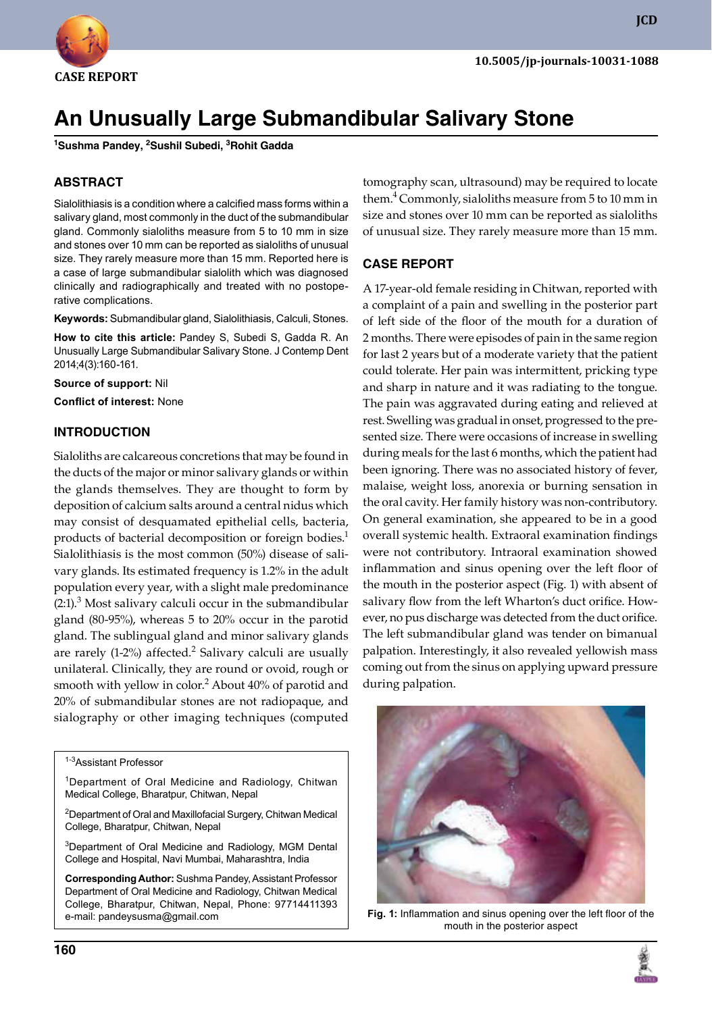

**JCD**

# **An Unusually Large Submandibular Salivary Stone**

**<sup>1</sup>Sushma Pandey, 2Sushil Subedi, 3Rohit Gadda**

# **ABSTRACT**

Sialolithiasis is a condition where a calcified mass forms within a salivary gland, most commonly in the duct of the submandibular gland. Commonly sialoliths measure from 5 to 10 mm in size and stones over 10 mm can be reported as sialoliths of unusual size. They rarely measure more than 15 mm. Reported here is a case of large submandibular sialolith which was diagnosed clinically and radiographically and treated with no postoperative complications.

**Keywords:** submandibular gland, sialolithiasis, calculi, stones.

**How to cite this article:** Pandey S, Subedi S, Gadda R. An Unusually Large Submandibular Salivary Stone. J Contemp Dent 2014;4(3):160-161.

**Source of support:** Nil

**Conflict of interest:** None

### **InTRodUCTIon**

Sialoliths are calcareous concretions that may be found in the ducts of the major or minor salivary glands or within the glands themselves. They are thought to form by deposition of calcium salts around a central nidus which may consist of desquamated epithelial cells, bacteria, products of bacterial decomposition or foreign bodies.<sup>1</sup> Sialolithiasis is the most common (50%) disease of salivary glands. Its estimated frequency is 1.2% in the adult population every year, with a slight male predominance  $(2.1).$ <sup>3</sup> Most salivary calculi occur in the submandibular gland (80-95%), whereas 5 to 20% occur in the parotid gland. The sublingual gland and minor salivary glands are rarely (1-2%) affected.<sup>2</sup> Salivary calculi are usually unilateral. Clinically, they are round or ovoid, rough or smooth with yellow in color. $^2$  About 40% of parotid and 20% of submandibular stones are not radiopaque, and sialography or other imaging techniques (computed

1-3Assistant Professor

<sup>1</sup>Department of Oral Medicine and Radiology, Chitwan Medical College, Bharatpur, Chitwan, Nepal

<sup>2</sup>Department of Oral and Maxillofacial Surgery, Chitwan Medical College, Bharatpur, Chitwan, Nepal

<sup>3</sup>Department of Oral Medicine and Radiology, MGM Dental College and Hospital, Navi Mumbai, Maharashtra, India

**Corresponding Author:** Sushma Pandey, Assistant Professor Department of Oral Medicine and Radiology, Chitwan Medical College, Bharatpur, Chitwan, Nepal, Phone: 97714411393 e-mail: pandeysusma@gmail.com

tomography scan, ultrasound) may be required to locate them.<sup>4</sup> Commonly, sialoliths measure from 5 to 10 mm in size and stones over 10 mm can be reported as sialoliths of unusual size. They rarely measure more than 15 mm.

### **CASE REPoRT**

A 17-year-old female residing in Chitwan, reported with a complaint of a pain and swelling in the posterior part of left side of the floor of the mouth for a duration of 2 months. There were episodes of pain in the same region for last 2 years but of a moderate variety that the patient could tolerate. Her pain was intermittent, pricking type and sharp in nature and it was radiating to the tongue. The pain was aggravated during eating and relieved at rest. Swelling was gradual in onset, progressed to the presented size. There were occasions of increase in swelling during meals for the last 6 months, which the patient had been ignoring. There was no associated history of fever, malaise, weight loss, anorexia or burning sensation in the oral cavity. Her family history was non-contributory. On general examination, she appeared to be in a good overall systemic health. Extraoral examination findings were not contributory. Intraoral examination showed inflammation and sinus opening over the left floor of the mouth in the posterior aspect (fig. 1) with absent of salivary flow from the left Wharton's duct orifice. However, no pus discharge was detected from the duct orifice. The left submandibular gland was tender on bimanual palpation. Interestingly, it also revealed yellowish mass coming out from the sinus on applying upward pressure during palpation.



**Fig. 1:** Inflammation and sinus opening over the left floor of the mouth in the posterior aspect